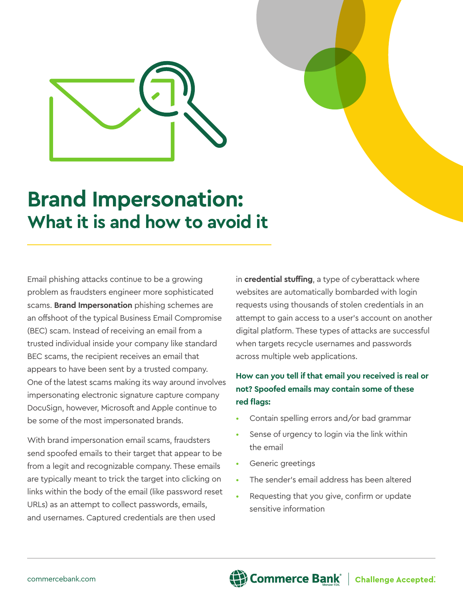

## **Brand Impersonation: What it is and how to avoid it**

Email phishing attacks continue to be a growing problem as fraudsters engineer more sophisticated scams. **Brand Impersonation** phishing schemes are an offshoot of the typical Business Email Compromise (BEC) scam. Instead of receiving an email from a trusted individual inside your company like standard BEC scams, the recipient receives an email that appears to have been sent by a trusted company. One of the latest scams making its way around involves impersonating electronic signature capture company DocuSign, however, Microsoft and Apple continue to be some of the most impersonated brands.

With brand impersonation email scams, fraudsters send spoofed emails to their target that appear to be from a legit and recognizable company. These emails are typically meant to trick the target into clicking on links within the body of the email (like password reset URLs) as an attempt to collect passwords, emails, and usernames. Captured credentials are then used

in **credential stuffing**, a type of cyberattack where websites are automatically bombarded with login requests using thousands of stolen credentials in an attempt to gain access to a user's account on another digital platform. These types of attacks are successful when targets recycle usernames and passwords across multiple web applications.

## **How can you tell if that email you received is real or not? Spoofed emails may contain some of these red flags:**

- Contain spelling errors and/or bad grammar
- Sense of urgency to login via the link within the email
- Generic greetings
- The sender's email address has been altered
- Requesting that you give, confirm or update sensitive information